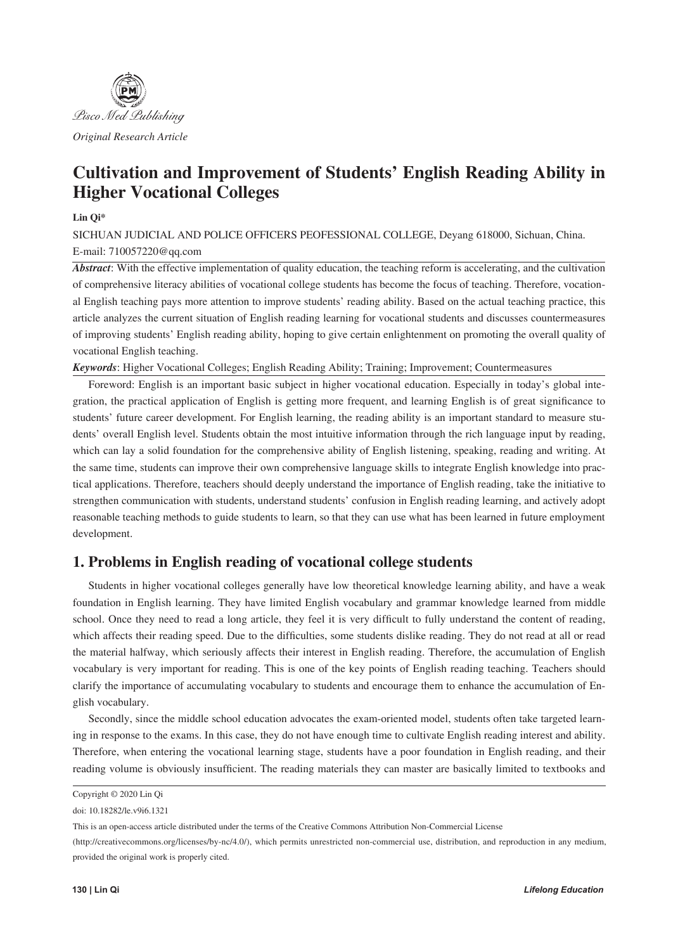

# **Cultivation and Improvement of Students' English Reading Ability in Higher Vocational Colleges**

### **Lin Qi\***

SICHUAN JUDICIAL AND POLICE OFFICERS PEOFESSIONAL COLLEGE, Deyang 618000, Sichuan, China. E-mail: 710057220@qq.com

*Abstract*: With the effective implementation of quality education, the teaching reform is accelerating, and the cultivation of comprehensive literacy abilities of vocational college students has become the focus of teaching. Therefore, vocational English teaching pays more attention to improve students' reading ability. Based on the actual teaching practice, this article analyzes the current situation of English reading learning for vocational students and discusses countermeasures of improving students' English reading ability, hoping to give certain enlightenment on promoting the overall quality of vocational English teaching.

*Keywords*: Higher Vocational Colleges; English Reading Ability; Training; Improvement; Countermeasures

Foreword: English is an important basic subject in higher vocational education. Especially in today's global integration, the practical application of English is getting more frequent, and learning English is of great significance to students' future career development. For English learning, the reading ability is an important standard to measure students' overall English level. Students obtain the most intuitive information through the rich language input by reading, which can lay a solid foundation for the comprehensive ability of English listening, speaking, reading and writing. At the same time, students can improve their own comprehensive language skills to integrate English knowledge into practical applications. Therefore, teachers should deeply understand the importance of English reading, take the initiative to strengthen communication with students, understand students' confusion in English reading learning, and actively adopt reasonable teaching methods to guide students to learn, so that they can use what has been learned in future employment development.

## **1. Problems in English reading of vocational college students**

Students in higher vocational colleges generally have low theoretical knowledge learning ability, and have a weak foundation in English learning. They have limited English vocabulary and grammar knowledge learned from middle school. Once they need to read a long article, they feel it is very difficult to fully understand the content of reading, which affects their reading speed. Due to the difficulties, some students dislike reading. They do not read at all or read the material halfway, which seriously affects their interest in English reading. Therefore, the accumulation of English vocabulary is very important for reading. This is one of the key points of English reading teaching. Teachers should clarify the importance of accumulating vocabulary to students and encourage them to enhance the accumulation of English vocabulary.

Secondly, since the middle school education advocates the exam-oriented model, students often take targeted learning in response to the exams. In this case, they do not have enough time to cultivate English reading interest and ability. Therefore, when entering the vocational learning stage, students have a poor foundation in English reading, and their reading volume is obviously insufficient. The reading materials they can master are basically limited to textbooks and

Copyright © 2020 Lin Qi

doi: 10.18282/le.v9i6.1321

This is an open-access article distributed under the terms of the Creative Commons Attribution Non-Commercial License

<sup>(</sup>http://creativecommons.org/licenses/by-nc/4.0/), which permits unrestricted non-commercial use, distribution, and reproduction in any medium, provided the original work is properly cited.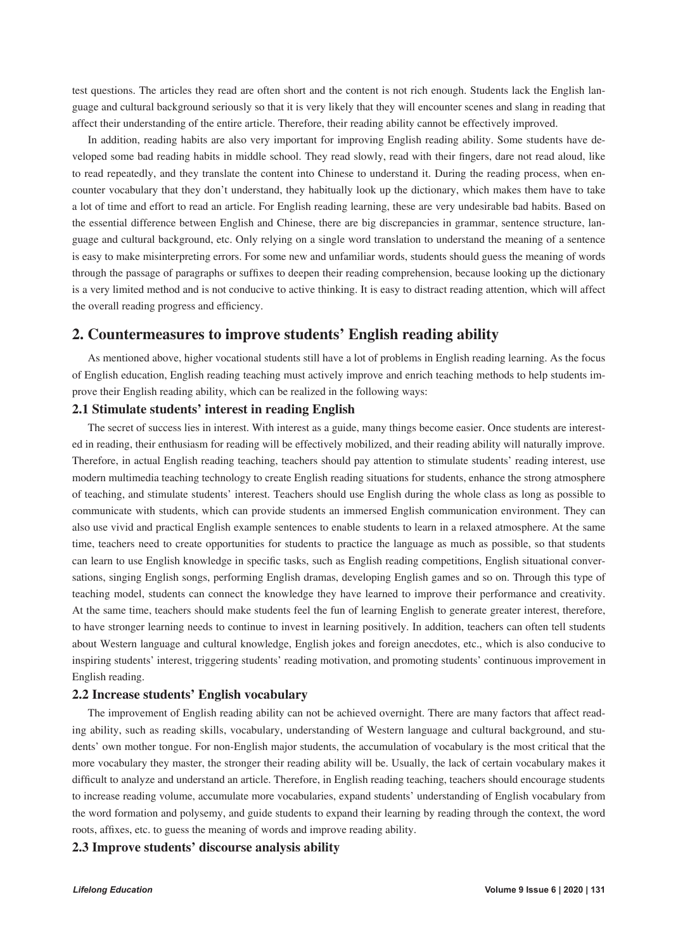test questions. The articles they read are often short and the content is not rich enough. Students lack the English language and cultural background seriously so that it is very likely that they will encounter scenes and slang in reading that affect their understanding of the entire article. Therefore, their reading ability cannot be effectively improved.

In addition, reading habits are also very important for improving English reading ability. Some students have developed some bad reading habits in middle school. They read slowly, read with their fingers, dare not read aloud, like to read repeatedly, and they translate the content into Chinese to understand it. During the reading process, when encounter vocabulary that they don't understand, they habitually look up the dictionary, which makes them have to take a lot of time and effort to read an article. For English reading learning, these are very undesirable bad habits. Based on the essential difference between English and Chinese, there are big discrepancies in grammar, sentence structure, language and cultural background, etc. Only relying on a single word translation to understand the meaning of a sentence is easy to make misinterpreting errors. For some new and unfamiliar words, students should guess the meaning of words through the passage of paragraphs or suffixes to deepen their reading comprehension, because looking up the dictionary is a very limited method and is not conducive to active thinking. It is easy to distract reading attention, which will affect the overall reading progress and efficiency.

## **2. Countermeasures to improve students' English reading ability**

As mentioned above, higher vocational students still have a lot of problems in English reading learning. As the focus of English education, English reading teaching must actively improve and enrich teaching methods to help students improve their English reading ability, which can be realized in the following ways:

#### **2.1 Stimulate students' interest in reading English**

The secret of success lies in interest. With interest as a guide, many things become easier. Once students are interested in reading, their enthusiasm for reading will be effectively mobilized, and their reading ability will naturally improve. Therefore, in actual English reading teaching, teachers should pay attention to stimulate students' reading interest, use modern multimedia teaching technology to create English reading situations for students, enhance the strong atmosphere of teaching, and stimulate students' interest. Teachers should use English during the whole class as long as possible to communicate with students, which can provide students an immersed English communication environment. They can also use vivid and practical English example sentences to enable students to learn in a relaxed atmosphere. At the same time, teachers need to create opportunities for students to practice the language as much as possible, so that students can learn to use English knowledge in specific tasks, such as English reading competitions, English situational conversations, singing English songs, performing English dramas, developing English games and so on. Through this type of teaching model, students can connect the knowledge they have learned to improve their performance and creativity. At the same time, teachers should make students feel the fun of learning English to generate greater interest, therefore, to have stronger learning needs to continue to invest in learning positively. In addition, teachers can often tell students about Western language and cultural knowledge, English jokes and foreign anecdotes, etc., which is also conducive to inspiring students' interest, triggering students' reading motivation, and promoting students' continuous improvement in English reading.

#### **2.2 Increase students' English vocabulary**

The improvement of English reading ability can not be achieved overnight. There are many factors that affect reading ability, such as reading skills, vocabulary, understanding of Western language and cultural background, and students' own mother tongue. For non-English major students, the accumulation of vocabulary is the most critical that the more vocabulary they master, the stronger their reading ability will be. Usually, the lack of certain vocabulary makes it difficult to analyze and understand an article. Therefore, in English reading teaching, teachers should encourage students to increase reading volume, accumulate more vocabularies, expand students' understanding of English vocabulary from the word formation and polysemy, and guide students to expand their learning by reading through the context, the word roots, affixes, etc. to guess the meaning of words and improve reading ability.

#### **2.3 Improve students' discourse analysis ability**